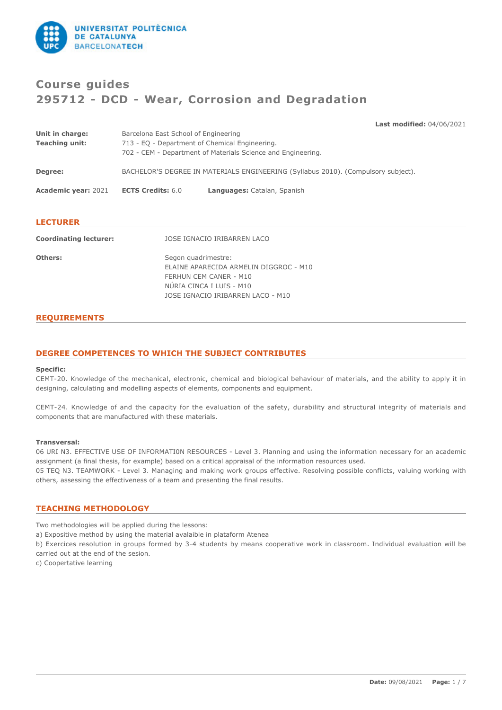

# **Course guides 295712 - DCD - Wear, Corrosion and Degradation**

**Last modified:** 04/06/2021

| Unit in charge:            | Barcelona East School of Engineering                                              |                             |  |
|----------------------------|-----------------------------------------------------------------------------------|-----------------------------|--|
| <b>Teaching unit:</b>      | 713 - EQ - Department of Chemical Engineering.                                    |                             |  |
|                            | 702 - CEM - Department of Materials Science and Engineering.                      |                             |  |
| Degree:                    | BACHELOR'S DEGREE IN MATERIALS ENGINEERING (Syllabus 2010). (Compulsory subject). |                             |  |
| <b>Academic year: 2021</b> | <b>ECTS Credits: 6.0</b>                                                          | Languages: Catalan, Spanish |  |
|                            |                                                                                   |                             |  |

| <b>LECTURER</b>               |                                                                                                                                                          |
|-------------------------------|----------------------------------------------------------------------------------------------------------------------------------------------------------|
| <b>Coordinating lecturer:</b> | JOSE IGNACIO IRIBARREN LACO                                                                                                                              |
| Others:                       | Segon quadrimestre:<br>ELAINE APARECIDA ARMELIN DIGGROC - M10<br>FERHUN CEM CANER - M10<br>NURIA CINCA I LUIS - M10<br>JOSE IGNACIO IRIBARREN LACO - M10 |

### **REQUIREMENTS**

### **DEGREE COMPETENCES TO WHICH THE SUBJECT CONTRIBUTES**

#### **Specific:**

CEMT-20. Knowledge of the mechanical, electronic, chemical and biological behaviour of materials, and the ability to apply it in designing, calculating and modelling aspects of elements, components and equipment.

CEMT-24. Knowledge of and the capacity for the evaluation of the safety, durability and structural integrity of materials and components that are manufactured with these materials.

#### **Transversal:**

06 URI N3. EFFECTIVE USE OF INFORMATI0N RESOURCES - Level 3. Planning and using the information necessary for an academic assignment (a final thesis, for example) based on a critical appraisal of the information resources used. 05 TEQ N3. TEAMWORK - Level 3. Managing and making work groups effective. Resolving possible conflicts, valuing working with others, assessing the effectiveness of a team and presenting the final results.

#### **TEACHING METHODOLOGY**

Two methodologies will be applied during the lessons:

a) Expositive method by using the material avalaible in plataform Atenea

b) Exercices resolution in groups formed by 3-4 students by means cooperative work in classroom. Individual evaluation will be carried out at the end of the sesion.

c) Coopertative learning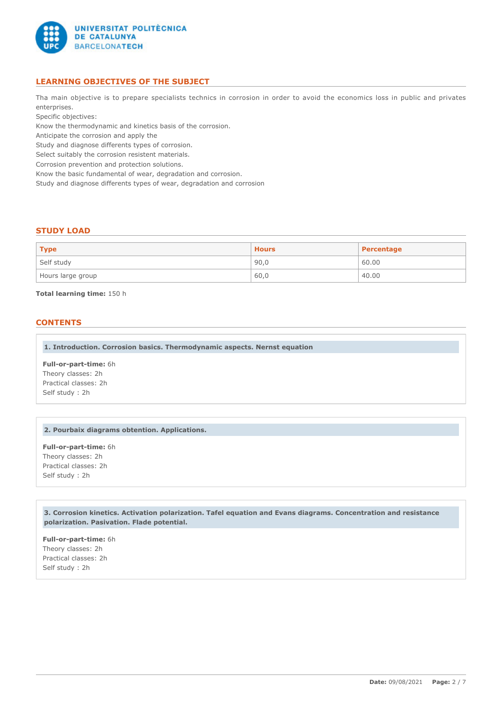

### **LEARNING OBJECTIVES OF THE SUBJECT**

Tha main objective is to prepare specialists technics in corrosion in order to avoid the economics loss in public and privates enterprises.

Specific objectives:

Know the thermodynamic and kinetics basis of the corrosion.

Anticipate the corrosion and apply the

Study and diagnose differents types of corrosion.

Select suitably the corrosion resistent materials.

Corrosion prevention and protection solutions.

Know the basic fundamental of wear, degradation and corrosion.

Study and diagnose differents types of wear, degradation and corrosion

#### **STUDY LOAD**

| <b>Type</b>       | <b>Hours</b> | Percentage |
|-------------------|--------------|------------|
| Self study        | 90,0         | 60.00      |
| Hours large group | 60,0         | 40.00      |

**Total learning time:** 150 h

#### **CONTENTS**

**1. Introduction. Corrosion basics. Thermodynamic aspects. Nernst equation**

**Full-or-part-time:** 6h Theory classes: 2h Practical classes: 2h Self study : 2h

### **2. Pourbaix diagrams obtention. Applications.**

**Full-or-part-time:** 6h Theory classes: 2h Practical classes: 2h Self study : 2h

**3. Corrosion kinetics. Activation polarization. Tafel equation and Evans diagrams. Concentration and resistance polarization. Pasivation. Flade potential.**

**Full-or-part-time:** 6h Theory classes: 2h Practical classes: 2h Self study : 2h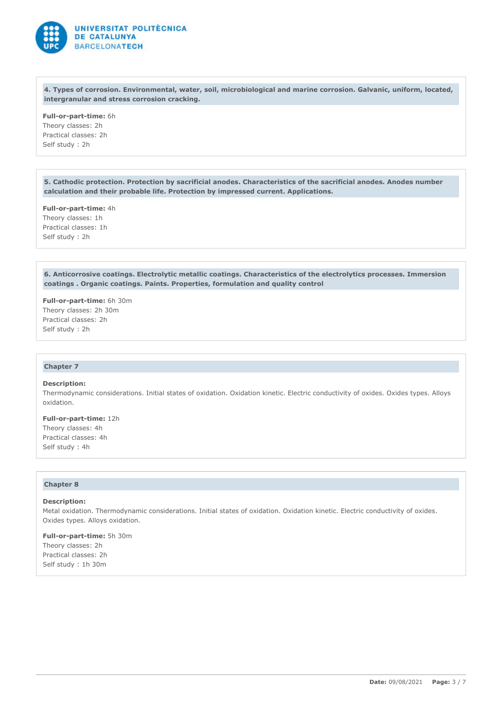

**4. Types of corrosion. Environmental, water, soil, microbiological and marine corrosion. Galvanic, uniform, located, intergranular and stress corrosion cracking.**

**Full-or-part-time:** 6h Theory classes: 2h Practical classes: 2h Self study : 2h

**5. Cathodic protection. Protection by sacrificial anodes. Characteristics of the sacrificial anodes. Anodes number calculation and their probable life. Protection by impressed current. Applications.**

**Full-or-part-time:** 4h Theory classes: 1h Practical classes: 1h Self study : 2h

**6. Anticorrosive coatings. Electrolytic metallic coatings. Characteristics of the electrolytics processes. Immersion coatings . Organic coatings. Paints. Properties, formulation and quality control**

**Full-or-part-time:** 6h 30m Theory classes: 2h 30m Practical classes: 2h Self study : 2h

#### **Chapter 7**

#### **Description:**

Thermodynamic considerations. Initial states of oxidation. Oxidation kinetic. Electric conductivity of oxides. Oxides types. Alloys oxidation.

**Full-or-part-time:** 12h Theory classes: 4h Practical classes: 4h Self study : 4h

#### **Chapter 8**

#### **Description:**

Metal oxidation. Thermodynamic considerations. Initial states of oxidation. Oxidation kinetic. Electric conductivity of oxides. Oxides types. Alloys oxidation.

**Full-or-part-time:** 5h 30m Theory classes: 2h Practical classes: 2h Self study : 1h 30m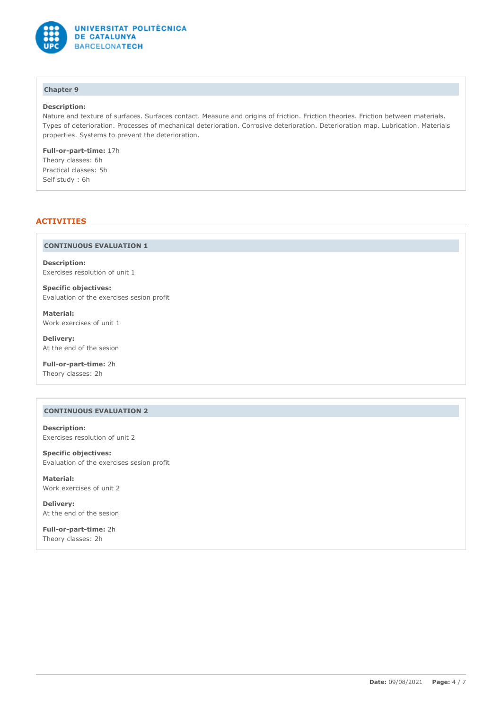

## **Chapter 9**

#### **Description:**

Nature and texture of surfaces. Surfaces contact. Measure and origins of friction. Friction theories. Friction between materials. Types of deterioration. Processes of mechanical deterioration. Corrosive deterioration. Deterioration map. Lubrication. Materials properties. Systems to prevent the deterioration.

**Full-or-part-time:** 17h Theory classes: 6h Practical classes: 5h Self study : 6h

### **ACTIVITIES**

#### **CONTINUOUS EVALUATION 1**

**Description:** Exercises resolution of unit 1

**Specific objectives:** Evaluation of the exercises sesion profit

**Material:** Work exercises of unit 1

**Delivery:** At the end of the sesion

**Full-or-part-time:** 2h Theory classes: 2h

### **CONTINUOUS EVALUATION 2**

**Description:** Exercises resolution of unit 2

**Specific objectives:** Evaluation of the exercises sesion profit

**Material:** Work exercises of unit 2

**Delivery:** At the end of the sesion

**Full-or-part-time:** 2h Theory classes: 2h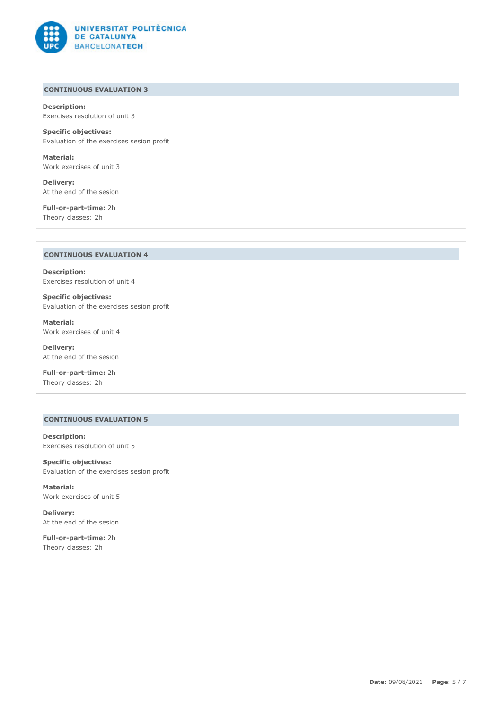

### **CONTINUOUS EVALUATION 3**

**Description:** Exercises resolution of unit 3

**Specific objectives:** Evaluation of the exercises sesion profit

**Material:** Work exercises of unit 3

**Delivery:** At the end of the sesion

**Full-or-part-time:** 2h Theory classes: 2h

### **CONTINUOUS EVALUATION 4**

**Description:** Exercises resolution of unit 4

**Specific objectives:** Evaluation of the exercises sesion profit

**Material:** Work exercises of unit 4

**Delivery:** At the end of the sesion

**Full-or-part-time:** 2h Theory classes: 2h

### **CONTINUOUS EVALUATION 5**

**Description:** Exercises resolution of unit 5

**Specific objectives:** Evaluation of the exercises sesion profit

**Material:** Work exercises of unit 5

**Delivery:** At the end of the sesion

**Full-or-part-time:** 2h Theory classes: 2h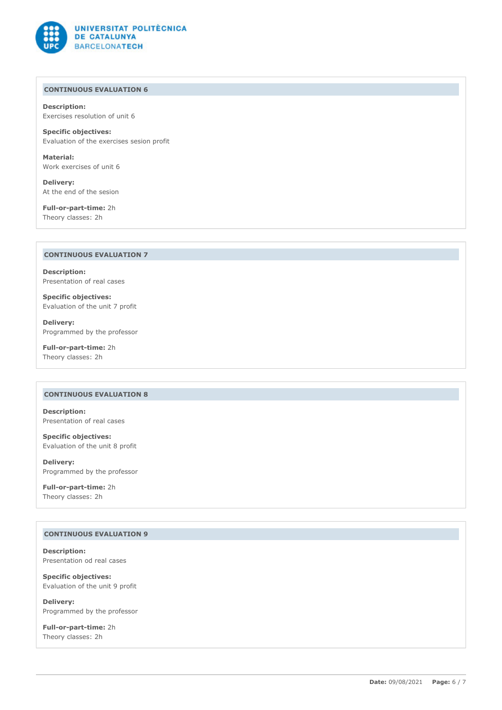

### **CONTINUOUS EVALUATION 6**

**Description:** Exercises resolution of unit 6

**Specific objectives:** Evaluation of the exercises sesion profit

**Material:** Work exercises of unit 6

**Delivery:** At the end of the sesion

**Full-or-part-time:** 2h Theory classes: 2h

### **CONTINUOUS EVALUATION 7**

**Description:** Presentation of real cases

**Specific objectives:** Evaluation of the unit 7 profit

**Delivery:** Programmed by the professor

**Full-or-part-time:** 2h Theory classes: 2h

### **CONTINUOUS EVALUATION 8**

**Description:** Presentation of real cases

**Specific objectives:** Evaluation of the unit 8 profit

**Delivery:** Programmed by the professor

**Full-or-part-time:** 2h Theory classes: 2h

### **CONTINUOUS EVALUATION 9**

**Description:** Presentation od real cases

**Specific objectives:** Evaluation of the unit 9 profit

**Delivery:** Programmed by the professor

**Full-or-part-time:** 2h Theory classes: 2h